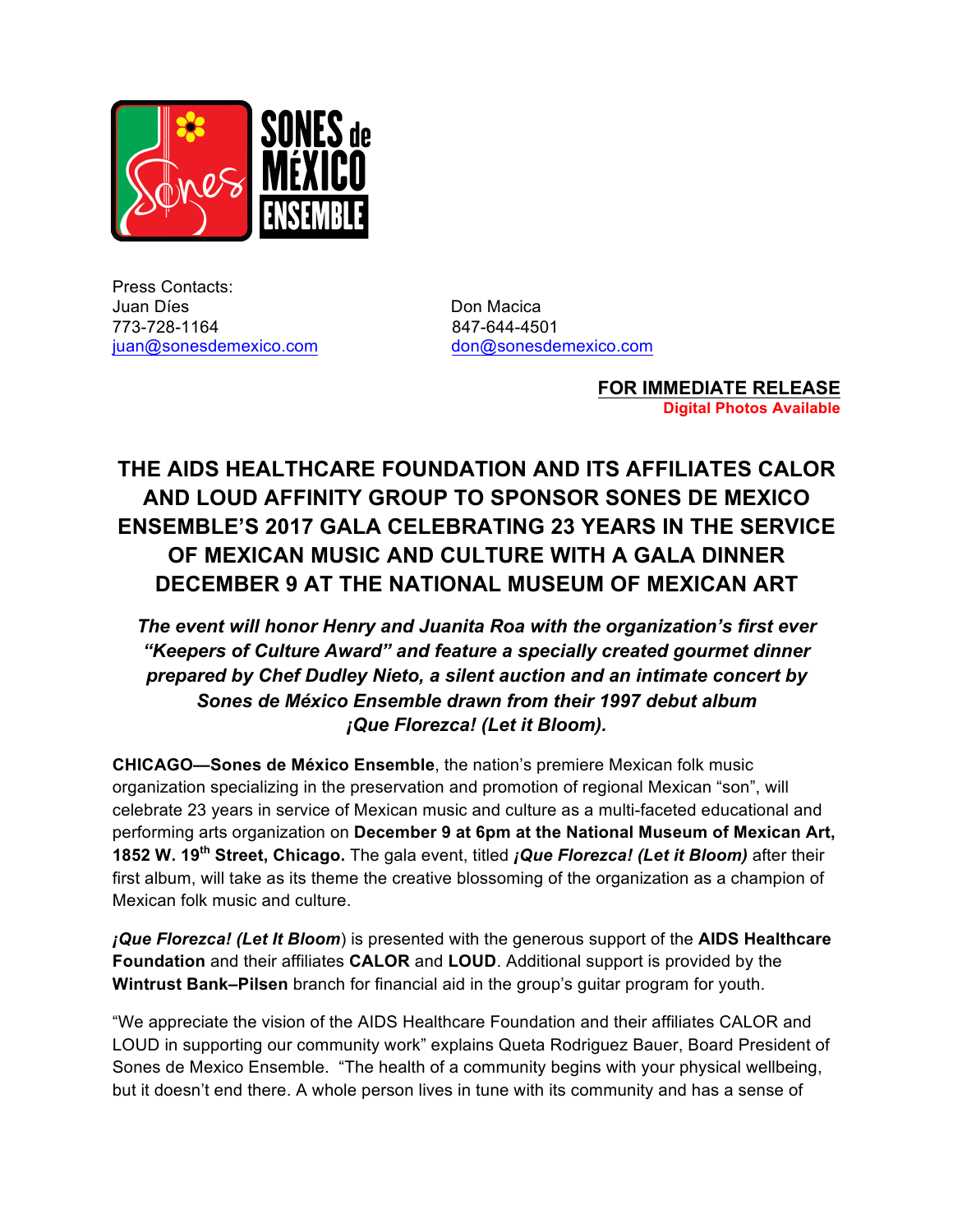

Press Contacts: Juan Díes **Don Macica** 773-728-1164 847-644-4501 juan@sonesdemexico.com don@sonesdemexico.com

**FOR IMMEDIATE RELEASE Digital Photos Available**

## **THE AIDS HEALTHCARE FOUNDATION AND ITS AFFILIATES CALOR AND LOUD AFFINITY GROUP TO SPONSOR SONES DE MEXICO ENSEMBLE'S 2017 GALA CELEBRATING 23 YEARS IN THE SERVICE OF MEXICAN MUSIC AND CULTURE WITH A GALA DINNER DECEMBER 9 AT THE NATIONAL MUSEUM OF MEXICAN ART**

*The event will honor Henry and Juanita Roa with the organization's first ever "Keepers of Culture Award" and feature a specially created gourmet dinner prepared by Chef Dudley Nieto, a silent auction and an intimate concert by Sones de México Ensemble drawn from their 1997 debut album ¡Que Florezca! (Let it Bloom).*

**CHICAGO—Sones de México Ensemble**, the nation's premiere Mexican folk music organization specializing in the preservation and promotion of regional Mexican "son", will celebrate 23 years in service of Mexican music and culture as a multi-faceted educational and performing arts organization on **December 9 at 6pm at the National Museum of Mexican Art, 1852 W. 19th Street, Chicago.** The gala event, titled *¡Que Florezca! (Let it Bloom)* after their first album, will take as its theme the creative blossoming of the organization as a champion of Mexican folk music and culture.

*¡Que Florezca! (Let It Bloom*) is presented with the generous support of the **AIDS Healthcare Foundation** and their affiliates **CALOR** and **LOUD**. Additional support is provided by the **Wintrust Bank–Pilsen** branch for financial aid in the group's guitar program for youth.

"We appreciate the vision of the AIDS Healthcare Foundation and their affiliates CALOR and LOUD in supporting our community work" explains Queta Rodriguez Bauer, Board President of Sones de Mexico Ensemble. "The health of a community begins with your physical wellbeing, but it doesn't end there. A whole person lives in tune with its community and has a sense of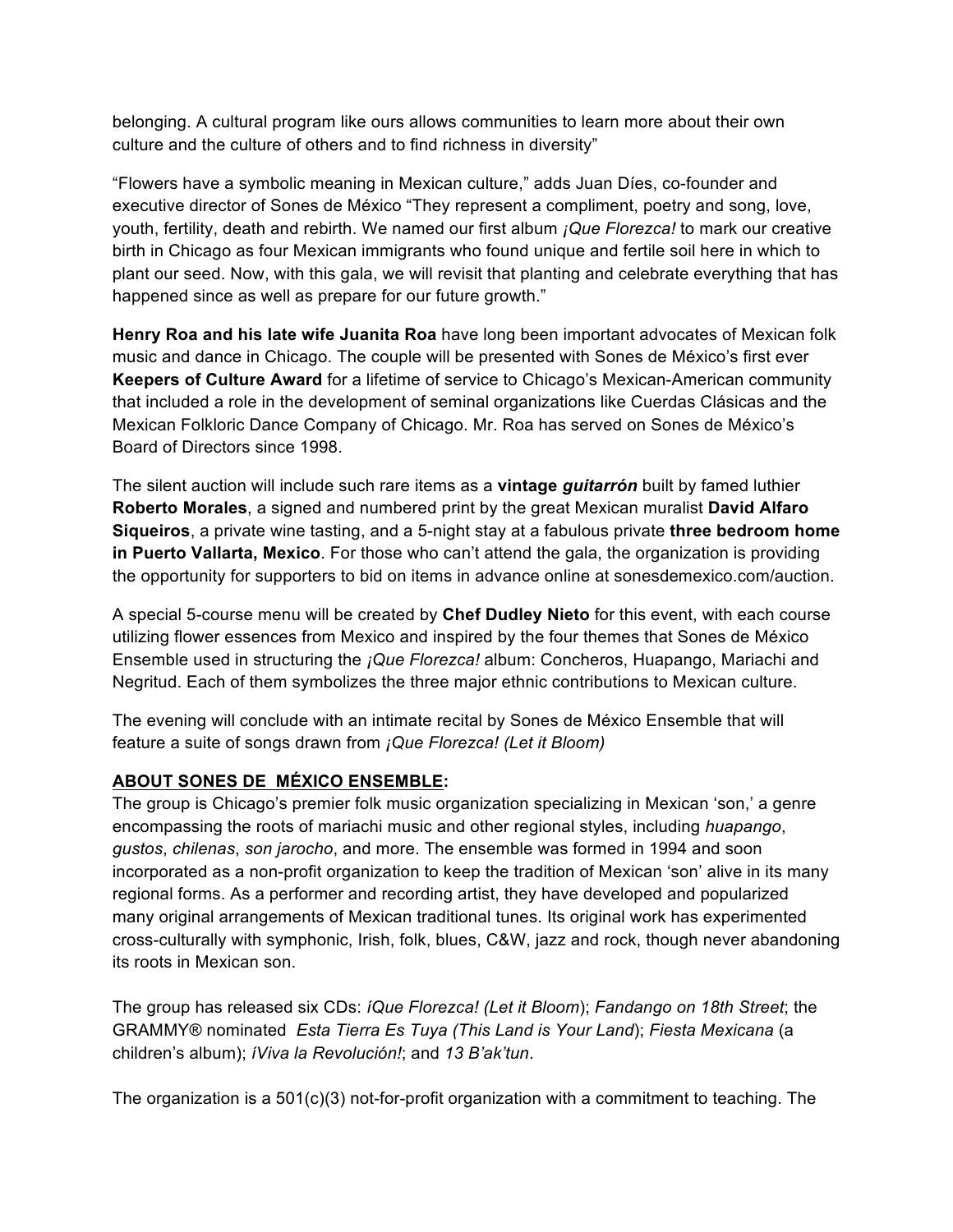belonging. A cultural program like ours allows communities to learn more about their own culture and the culture of others and to find richness in diversity"

"Flowers have a symbolic meaning in Mexican culture," adds Juan Díes, co-founder and executive director of Sones de México "They represent a compliment, poetry and song, love, youth, fertility, death and rebirth. We named our first album *¡Que Florezca!* to mark our creative birth in Chicago as four Mexican immigrants who found unique and fertile soil here in which to plant our seed. Now, with this gala, we will revisit that planting and celebrate everything that has happened since as well as prepare for our future growth."

**Henry Roa and his late wife Juanita Roa** have long been important advocates of Mexican folk music and dance in Chicago. The couple will be presented with Sones de México's first ever **Keepers of Culture Award** for a lifetime of service to Chicago's Mexican-American community that included a role in the development of seminal organizations like Cuerdas Clásicas and the Mexican Folkloric Dance Company of Chicago. Mr. Roa has served on Sones de México's Board of Directors since 1998.

The silent auction will include such rare items as a **vintage** *guitarrón* built by famed luthier **Roberto Morales**, a signed and numbered print by the great Mexican muralist **David Alfaro Siqueiros**, a private wine tasting, and a 5-night stay at a fabulous private **three bedroom home in Puerto Vallarta, Mexico**. For those who can't attend the gala, the organization is providing the opportunity for supporters to bid on items in advance online at sonesdemexico.com/auction.

A special 5-course menu will be created by **Chef Dudley Nieto** for this event, with each course utilizing flower essences from Mexico and inspired by the four themes that Sones de México Ensemble used in structuring the *¡Que Florezca!* album: Concheros, Huapango, Mariachi and Negritud. Each of them symbolizes the three major ethnic contributions to Mexican culture.

The evening will conclude with an intimate recital by Sones de México Ensemble that will feature a suite of songs drawn from *¡Que Florezca! (Let it Bloom)*

## **ABOUT SONES DE MÉXICO ENSEMBLE:**

The group is Chicago's premier folk music organization specializing in Mexican 'son,' a genre encompassing the roots of mariachi music and other regional styles, including *huapango*, *gustos*, *chilenas*, *son jarocho*, and more. The ensemble was formed in 1994 and soon incorporated as a non-profit organization to keep the tradition of Mexican 'son' alive in its many regional forms. As a performer and recording artist, they have developed and popularized many original arrangements of Mexican traditional tunes. Its original work has experimented cross-culturally with symphonic, Irish, folk, blues, C&W, jazz and rock, though never abandoning its roots in Mexican son.

The group has released six CDs: *íQue Florezca! (Let it Bloom*); *Fandango on 18th Street*; the GRAMMY® nominated *Esta Tierra Es Tuya (This Land is Your Land*); *Fiesta Mexicana* (a children's album); *íViva la Revolución!*; and *13 B'ak'tun*.

The organization is a  $501(c)(3)$  not-for-profit organization with a commitment to teaching. The